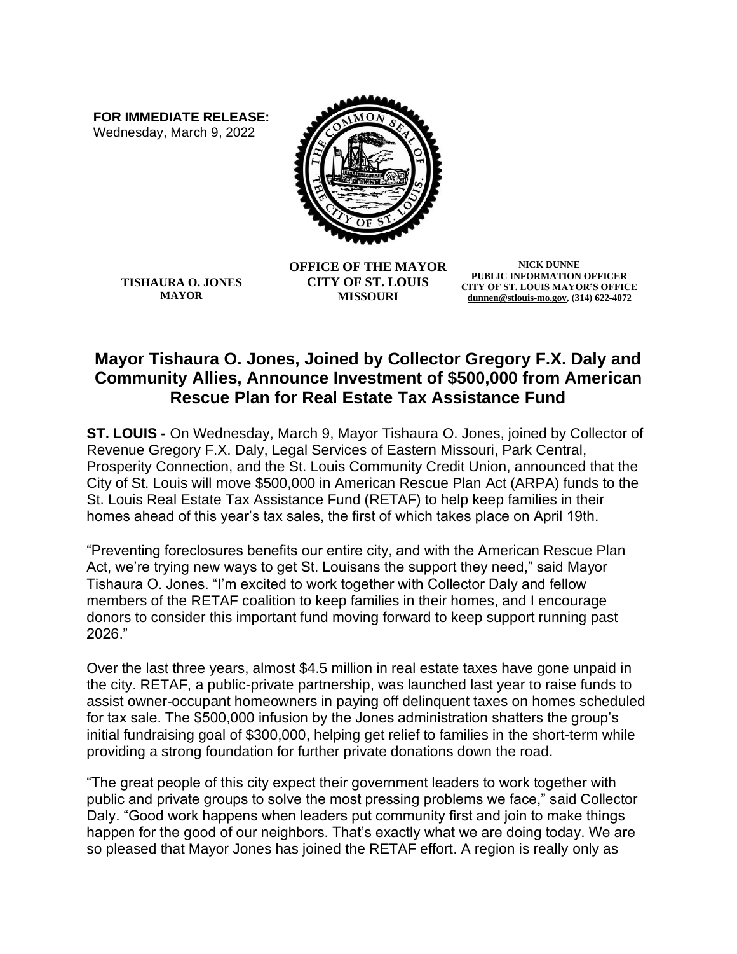**FOR IMMEDIATE RELEASE:** Wednesday, March 9, 2022



**TISHAURA O. JONES MAYOR**

**OFFICE OF THE MAYOR CITY OF ST. LOUIS MISSOURI**

**NICK DUNNE PUBLIC INFORMATION OFFICER CITY OF ST. LOUIS MAYOR'S OFFICE [dunnen@stlouis-mo.gov,](mailto:dunnen@stlouis-mo.gov) (314) 622-4072**

## **Mayor Tishaura O. Jones, Joined by Collector Gregory F.X. Daly and Community Allies, Announce Investment of \$500,000 from American Rescue Plan for Real Estate Tax Assistance Fund**

**ST. LOUIS -** On Wednesday, March 9, Mayor Tishaura O. Jones, joined by Collector of Revenue Gregory F.X. Daly, Legal Services of Eastern Missouri, Park Central, Prosperity Connection, and the St. Louis Community Credit Union, announced that the City of St. Louis will move \$500,000 in American Rescue Plan Act (ARPA) funds to the St. Louis Real Estate Tax Assistance Fund (RETAF) to help keep families in their homes ahead of this year's tax sales, the first of which takes place on April 19th.

"Preventing foreclosures benefits our entire city, and with the American Rescue Plan Act, we're trying new ways to get St. Louisans the support they need," said Mayor Tishaura O. Jones. "I'm excited to work together with Collector Daly and fellow members of the RETAF coalition to keep families in their homes, and I encourage donors to consider this important fund moving forward to keep support running past 2026."

Over the last three years, almost \$4.5 million in real estate taxes have gone unpaid in the city. RETAF, a public-private partnership, was launched last year to raise funds to assist owner-occupant homeowners in paying off delinquent taxes on homes scheduled for tax sale. The \$500,000 infusion by the Jones administration shatters the group's initial fundraising goal of \$300,000, helping get relief to families in the short-term while providing a strong foundation for further private donations down the road.

"The great people of this city expect their government leaders to work together with public and private groups to solve the most pressing problems we face," said Collector Daly. "Good work happens when leaders put community first and join to make things happen for the good of our neighbors. That's exactly what we are doing today. We are so pleased that Mayor Jones has joined the RETAF effort. A region is really only as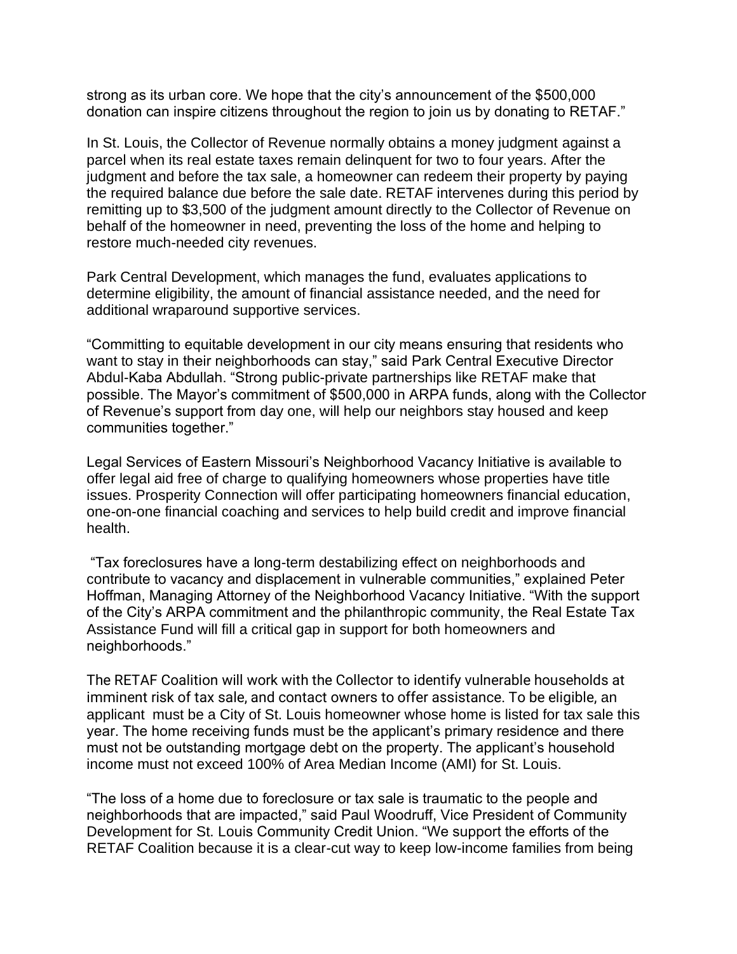strong as its urban core. We hope that the city's announcement of the \$500,000 donation can inspire citizens throughout the region to join us by donating to RETAF."

In St. Louis, the Collector of Revenue normally obtains a money judgment against a parcel when its real estate taxes remain delinquent for two to four years. After the judgment and before the tax sale, a homeowner can redeem their property by paying the required balance due before the sale date. RETAF intervenes during this period by remitting up to \$3,500 of the judgment amount directly to the Collector of Revenue on behalf of the homeowner in need, preventing the loss of the home and helping to restore much-needed city revenues.

Park Central Development, which manages the fund, evaluates applications to determine eligibility, the amount of financial assistance needed, and the need for additional wraparound supportive services.

"Committing to equitable development in our city means ensuring that residents who want to stay in their neighborhoods can stay," said Park Central Executive Director Abdul-Kaba Abdullah. "Strong public-private partnerships like RETAF make that possible. The Mayor's commitment of \$500,000 in ARPA funds, along with the Collector of Revenue's support from day one, will help our neighbors stay housed and keep communities together."

Legal Services of Eastern Missouri's Neighborhood Vacancy Initiative is available to offer legal aid free of charge to qualifying homeowners whose properties have title issues. Prosperity Connection will offer participating homeowners financial education, one-on-one financial coaching and services to help build credit and improve financial health.

"Tax foreclosures have a long-term destabilizing effect on neighborhoods and contribute to vacancy and displacement in vulnerable communities," explained Peter Hoffman, Managing Attorney of the Neighborhood Vacancy Initiative. "With the support of the City's ARPA commitment and the philanthropic community, the Real Estate Tax Assistance Fund will fill a critical gap in support for both homeowners and neighborhoods."

The RETAF Coalition will work with the Collector to identify vulnerable households at imminent risk of tax sale, and contact owners to offer assistance. To be eligible, an applicant must be a City of St. Louis homeowner whose home is listed for tax sale this year. The home receiving funds must be the applicant's primary residence and there must not be outstanding mortgage debt on the property. The applicant's household income must not exceed 100% of Area Median Income (AMI) for St. Louis.

"The loss of a home due to foreclosure or tax sale is traumatic to the people and neighborhoods that are impacted," said Paul Woodruff, Vice President of Community Development for St. Louis Community Credit Union. "We support the efforts of the RETAF Coalition because it is a clear-cut way to keep low-income families from being